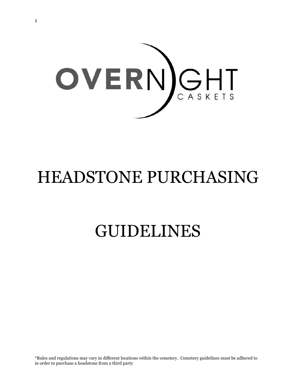

# HEADSTONE PURCHASING

# GUIDELINES

\*Rules and regulations may vary in different locations within the cemetery. Cemetery guidelines must be adhered to in order to purchase a headstone from a third party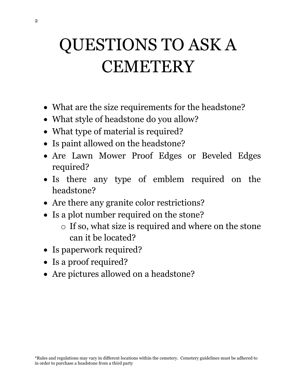# QUESTIONS TO ASK A **CEMETERY**

- What are the size requirements for the headstone?
- What style of headstone do you allow?
- What type of material is required?
- Is paint allowed on the headstone?
- Are Lawn Mower Proof Edges or Beveled Edges required?
- Is there any type of emblem required on the headstone?
- Are there any granite color restrictions?
- Is a plot number required on the stone?
	- o If so, what size is required and where on the stone can it be located?
- Is paperwork required?
- Is a proof required?
- Are pictures allowed on a headstone?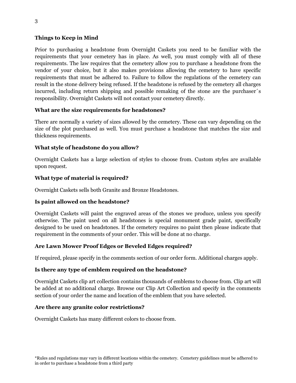# **Things to Keep in Mind**

Prior to purchasing a headstone from Overnight Caskets you need to be familiar with the requirements that your cemetery has in place. As well, you must comply with all of these requirements. The law requires that the cemetery allow you to purchase a headstone from the vendor of your choice, but it also makes provisions allowing the cemetery to have specific requirements that must be adhered to. Failure to follow the regulations of the cemetery can result in the stone delivery being refused. If the headstone is refused by the cemetery all charges incurred, including return shipping and possible remaking of the stone are the purchaser´s responsibility. Overnight Caskets will not contact your cemetery directly.

# **What are the size requirements for headstones?**

There are normally a variety of sizes allowed by the cemetery. These can vary depending on the size of the plot purchased as well. You must purchase a headstone that matches the size and thickness requirements.

# **What style of headstone do you allow?**

Overnight Caskets has a large selection of styles to choose from. Custom styles are available upon request.

# **What type of material is required?**

Overnight Caskets sells both Granite and Bronze Headstones.

# **Is paint allowed on the headstone?**

Overnight Caskets will paint the engraved areas of the stones we produce, unless you specify otherwise. The paint used on all headstones is special monument grade paint, specifically designed to be used on headstones. If the cemetery requires no paint then please indicate that requirement in the comments of your order. This will be done at no charge.

#### **Are Lawn Mower Proof Edges or Beveled Edges required?**

If required, please specify in the comments section of our order form. Additional charges apply.

#### **Is there any type of emblem required on the headstone?**

Overnight Caskets clip art collection contains thousands of emblems to choose from. Clip art will be added at no additional charge. Browse our Clip Art Collection and specify in the comments section of your order the name and location of the emblem that you have selected.

#### **Are there any granite color restrictions?**

Overnight Caskets has many different colors to choose from.